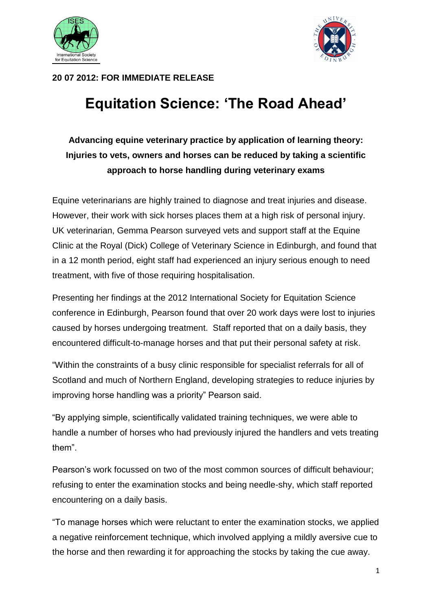



## **20 07 2012: FOR IMMEDIATE RELEASE**

## **Equitation Science: 'The Road Ahead'**

## **Advancing equine veterinary practice by application of learning theory: Injuries to vets, owners and horses can be reduced by taking a scientific approach to horse handling during veterinary exams**

Equine veterinarians are highly trained to diagnose and treat injuries and disease. However, their work with sick horses places them at a high risk of personal injury. UK veterinarian, Gemma Pearson surveyed vets and support staff at the Equine Clinic at the Royal (Dick) College of Veterinary Science in Edinburgh, and found that in a 12 month period, eight staff had experienced an injury serious enough to need treatment, with five of those requiring hospitalisation.

Presenting her findings at the 2012 International Society for Equitation Science conference in Edinburgh, Pearson found that over 20 work days were lost to injuries caused by horses undergoing treatment. Staff reported that on a daily basis, they encountered difficult-to-manage horses and that put their personal safety at risk.

"Within the constraints of a busy clinic responsible for specialist referrals for all of Scotland and much of Northern England, developing strategies to reduce injuries by improving horse handling was a priority" Pearson said.

"By applying simple, scientifically validated training techniques, we were able to handle a number of horses who had previously injured the handlers and vets treating them".

Pearson's work focussed on two of the most common sources of difficult behaviour; refusing to enter the examination stocks and being needle-shy, which staff reported encountering on a daily basis.

"To manage horses which were reluctant to enter the examination stocks, we applied a negative reinforcement technique, which involved applying a mildly aversive cue to the horse and then rewarding it for approaching the stocks by taking the cue away.